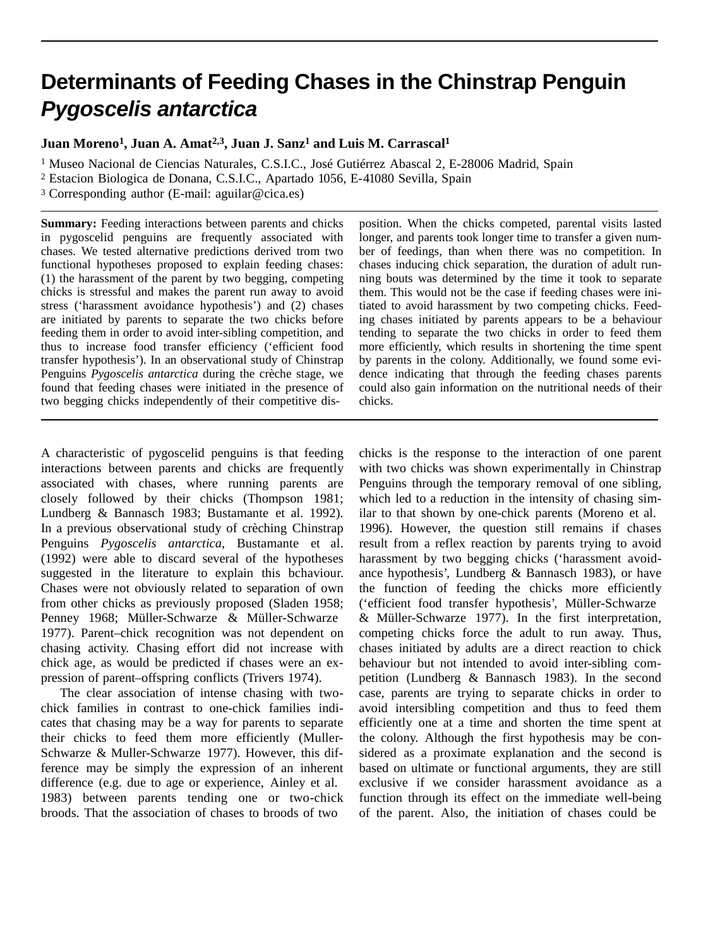# **Determinants of Feeding Chases in the Chinstrap Penguin** *Pygoscelis antarctica*

**Juan Moreno1, Juan A. Amat2,3, Juan J. Sanz1 and Luis M. Carrascal1**

<sup>1</sup> Museo Nacional de Ciencias Naturales, C.S.I.C., José Gutiérrez Abascal 2, E-28006 Madrid, Spain <sup>2</sup> Estacion Biologica de Donana, C.S.I.C., Apartado 1056, E-41080 Sevilla, Spain

<sup>3</sup> Corresponding author (E-mail: aguilar@cica.es)

**Summary:** Feeding interactions between parents and chicks in pygoscelid penguins are frequently associated with chases. We tested alternative predictions derived trom two functional hypotheses proposed to explain feeding chases: (1) the harassment of the parent by two begging, competing chicks is stressful and makes the parent run away to avoid stress ('harassment avoidance hypothesis') and (2) chases are initiated by parents to separate the two chicks before feeding them in order to avoid inter-sibling competition, and thus to increase food transfer efficiency ('efficient food transfer hypothesis'). In an observational study of Chinstrap Penguins *Pygoscelis antarctica* during the crèche stage, we found that feeding chases were initiated in the presence of two begging chicks independently of their competitive dis-

A characteristic of pygoscelid penguins is that feeding interactions between parents and chicks are frequently associated with chases, where running parents are closely followed by their chicks (Thompson 1981; Lundberg & Bannasch 1983; Bustamante et al. 1992). In a previous observational study of crèching Chinstrap Penguins *Pygoscelis antarctica*, Bustamante et al. (1992) were able to discard several of the hypotheses suggested in the literature to explain this bchaviour. Chases were not obviously related to separation of own from other chicks as previously proposed (Sladen 1958; Penney 1968; Müller-Schwarze & Müller-Schwarze 1977). Parent–chick recognition was not dependent on chasing activity. Chasing effort did not increase with chick age, as would be predicted if chases were an expression of parent–offspring conflicts (Trivers 1974).

The clear association of intense chasing with twochick families in contrast to one-chick families indicates that chasing may be a way for parents to separate their chicks to feed them more efficiently (Muller-Schwarze & Muller-Schwarze 1977). However, this difference may be simply the expression of an inherent difference (e.g. due to age or experience, Ainley et al. 1983) between parents tending one or two-chick broods. That the association of chases to broods of two

position. When the chicks competed, parental visits lasted longer, and parents took longer time to transfer a given number of feedings, than when there was no competition. In chases inducing chick separation, the duration of adult running bouts was determined by the time it took to separate them. This would not be the case if feeding chases were initiated to avoid harassment by two competing chicks. Feeding chases initiated by parents appears to be a behaviour tending to separate the two chicks in order to feed them more efficiently, which results in shortening the time spent by parents in the colony. Additionally, we found some evidence indicating that through the feeding chases parents could also gain information on the nutritional needs of their chicks.

chicks is the response to the interaction of one parent with two chicks was shown experimentally in Chinstrap Penguins through the temporary removal of one sibling, which led to a reduction in the intensity of chasing similar to that shown by one-chick parents (Moreno et al. 1996). However, the question still remains if chases result from a reflex reaction by parents trying to avoid harassment by two begging chicks ('harassment avoidance hypothesis', Lundberg & Bannasch 1983), or have the function of feeding the chicks more efficiently ('efficient food transfer hypothesis', Müller-Schwarze & Müller-Schwarze 1977). In the first interpretation, competing chicks force the adult to run away. Thus, chases initiated by adults are a direct reaction to chick behaviour but not intended to avoid inter-sibling competition (Lundberg & Bannasch 1983). In the second case, parents are trying to separate chicks in order to avoid intersibling competition and thus to feed them efficiently one at a time and shorten the time spent at the colony. Although the first hypothesis may be considered as a proximate explanation and the second is based on ultimate or functional arguments, they are still exclusive if we consider harassment avoidance as a function through its effect on the immediate well-being of the parent. Also, the initiation of chases could be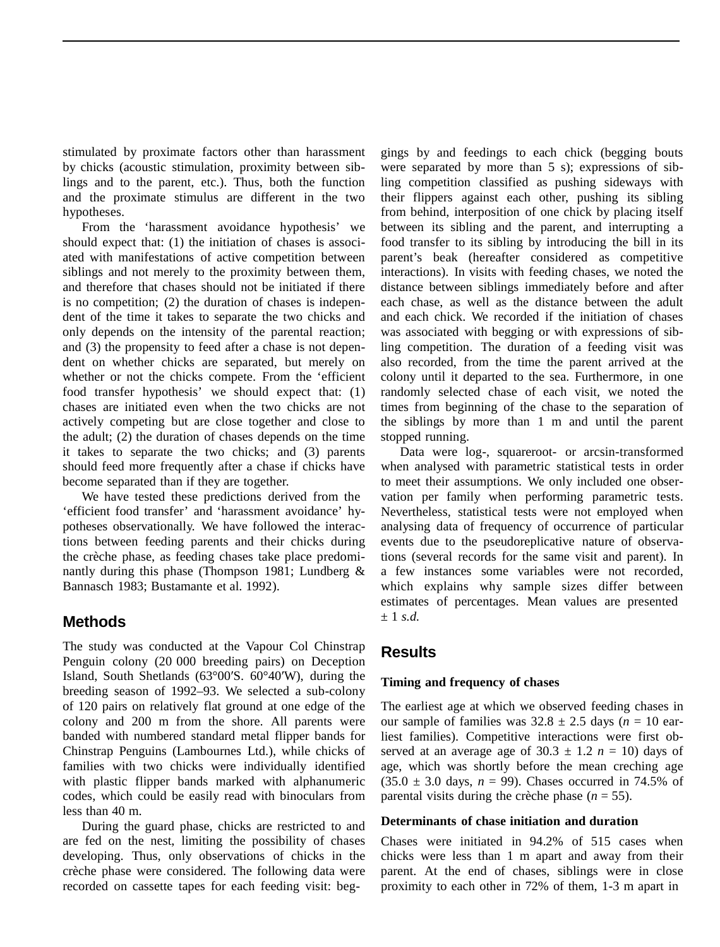stimulated by proximate factors other than harassment by chicks (acoustic stimulation, proximity between siblings and to the parent, etc.). Thus, both the function and the proximate stimulus are different in the two hypotheses.

From the 'harassment avoidance hypothesis' we should expect that: (1) the initiation of chases is associated with manifestations of active competition between siblings and not merely to the proximity between them, and therefore that chases should not be initiated if there is no competition; (2) the duration of chases is independent of the time it takes to separate the two chicks and only depends on the intensity of the parental reaction; and (3) the propensity to feed after a chase is not dependent on whether chicks are separated, but merely on whether or not the chicks compete. From the 'efficient food transfer hypothesis' we should expect that: (1) chases are initiated even when the two chicks are not actively competing but are close together and close to the adult; (2) the duration of chases depends on the time it takes to separate the two chicks; and (3) parents should feed more frequently after a chase if chicks have become separated than if they are together.

We have tested these predictions derived from the 'efficient food transfer' and 'harassment avoidance' hypotheses observationally. We have followed the interactions between feeding parents and their chicks during the crèche phase, as feeding chases take place predominantly during this phase (Thompson 1981; Lundberg & Bannasch 1983; Bustamante et al. 1992).

## **Methods**

The study was conducted at the Vapour Col Chinstrap Penguin colony (20 000 breeding pairs) on Deception Island, South Shetlands (63°00′S. 60°40′W), during the breeding season of 1992–93. We selected a sub-colony of 120 pairs on relatively flat ground at one edge of the colony and 200 m from the shore. All parents were banded with numbered standard metal flipper bands for Chinstrap Penguins (Lambournes Ltd.), while chicks of families with two chicks were individually identified with plastic flipper bands marked with alphanumeric codes, which could be easily read with binoculars from less than 40 m.

During the guard phase, chicks are restricted to and are fed on the nest, limiting the possibility of chases developing. Thus, only observations of chicks in the crèche phase were considered. The following data were recorded on cassette tapes for each feeding visit: beg-

gings by and feedings to each chick (begging bouts were separated by more than 5 s); expressions of sibling competition classified as pushing sideways with their flippers against each other, pushing its sibling from behind, interposition of one chick by placing itself between its sibling and the parent, and interrupting a food transfer to its sibling by introducing the bill in its parent's beak (hereafter considered as competitive interactions). In visits with feeding chases, we noted the distance between siblings immediately before and after each chase, as well as the distance between the adult and each chick. We recorded if the initiation of chases was associated with begging or with expressions of sibling competition. The duration of a feeding visit was also recorded, from the time the parent arrived at the colony until it departed to the sea. Furthermore, in one randomly selected chase of each visit, we noted the times from beginning of the chase to the separation of the siblings by more than 1 m and until the parent stopped running.

Data were log-, squareroot- or arcsin-transformed when analysed with parametric statistical tests in order to meet their assumptions. We only included one observation per family when performing parametric tests. Nevertheless, statistical tests were not employed when analysing data of frequency of occurrence of particular events due to the pseudoreplicative nature of observations (several records for the same visit and parent). In a few instances some variables were not recorded, which explains why sample sizes differ between estimates of percentages. Mean values are presented ± 1 *s.d.*

# **Results**

#### **Timing and frequency of chases**

The earliest age at which we observed feeding chases in our sample of families was  $32.8 \pm 2.5$  days ( $n = 10$  earliest families). Competitive interactions were first observed at an average age of  $30.3 \pm 1.2$  *n* = 10) days of age, which was shortly before the mean creching age  $(35.0 \pm 3.0 \text{ days}, n = 99)$ . Chases occurred in 74.5% of parental visits during the crèche phase  $(n = 55)$ .

#### **Determinants of chase initiation and duration**

Chases were initiated in 94.2% of 515 cases when chicks were less than 1 m apart and away from their parent. At the end of chases, siblings were in close proximity to each other in 72% of them, 1-3 m apart in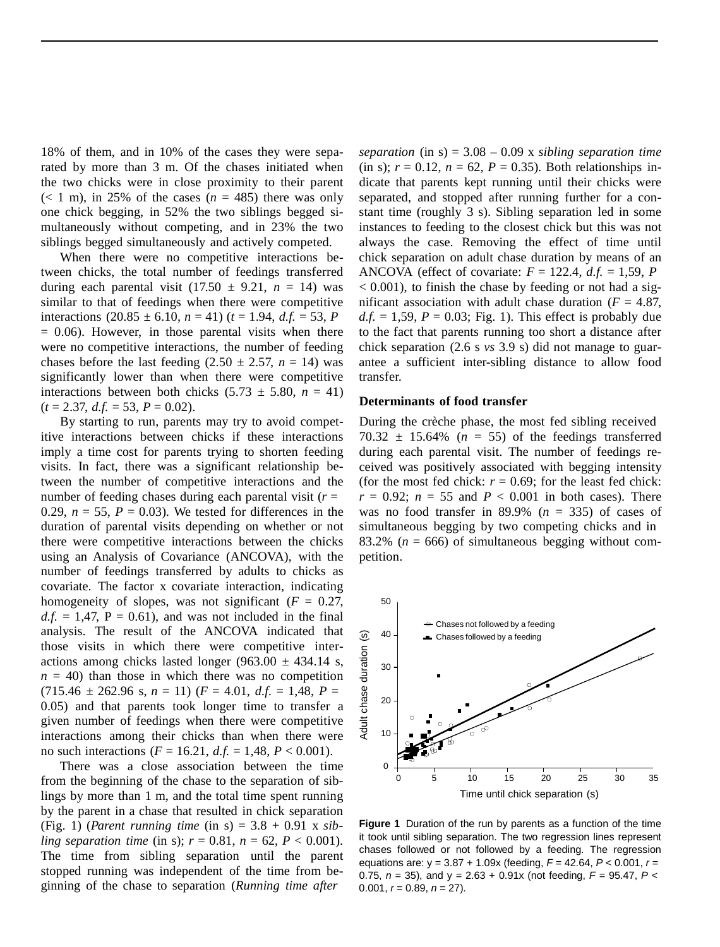18% of them, and in 10% of the cases they were separated by more than 3 m. Of the chases initiated when the two chicks were in close proximity to their parent  $(< 1 \text{ m})$ , in 25% of the cases  $(n = 485)$  there was only one chick begging, in 52% the two siblings begged simultaneously without competing, and in 23% the two siblings begged simultaneously and actively competed.

When there were no competitive interactions between chicks, the total number of feedings transferred during each parental visit  $(17.50 \pm 9.21, n = 14)$  was similar to that of feedings when there were competitive interactions  $(20.85 \pm 6.10, n = 41)$   $(t = 1.94, d.f. = 53, P)$  $= 0.06$ ). However, in those parental visits when there were no competitive interactions, the number of feeding chases before the last feeding  $(2.50 \pm 2.57, n = 14)$  was significantly lower than when there were competitive interactions between both chicks  $(5.73 \pm 5.80, n = 41)$  $(t = 2.37, d.f. = 53, P = 0.02)$ .

By starting to run, parents may try to avoid competitive interactions between chicks if these interactions imply a time cost for parents trying to shorten feeding visits. In fact, there was a significant relationship between the number of competitive interactions and the number of feeding chases during each parental visit  $(r =$ 0.29,  $n = 55$ ,  $P = 0.03$ ). We tested for differences in the duration of parental visits depending on whether or not there were competitive interactions between the chicks using an Analysis of Covariance (ANCOVA), with the number of feedings transferred by adults to chicks as covariate. The factor x covariate interaction, indicating homogeneity of slopes, was not significant  $(F = 0.27)$ ,  $d.f. = 1,47$ ,  $P = 0.61$ ), and was not included in the final analysis. The result of the ANCOVA indicated that those visits in which there were competitive interactions among chicks lasted longer (963.00  $\pm$  434.14 s,  $n = 40$ ) than those in which there was no competition  $(715.46 \pm 262.96 \text{ s}, n = 11)$   $(F = 4.01, d.f. = 1.48, P =$ 0.05) and that parents took longer time to transfer a given number of feedings when there were competitive interactions among their chicks than when there were no such interactions ( $F = 16.21$ ,  $d.f. = 1,48$ ,  $P < 0.001$ ).

There was a close association between the time from the beginning of the chase to the separation of siblings by more than 1 m, and the total time spent running by the parent in a chase that resulted in chick separation (Fig. 1) (*Parent running time* (in s) = 3.8 + 0.91 x *sibling separation time* (in s);  $r = 0.81$ ,  $n = 62$ ,  $P < 0.001$ ). The time from sibling separation until the parent stopped running was independent of the time from beginning of the chase to separation (*Running time after*

*separation* (in s) = 3.08 – 0.09 x *sibling separation time*  (in s);  $r = 0.12$ ,  $n = 62$ ,  $P = 0.35$ ). Both relationships indicate that parents kept running until their chicks were separated, and stopped after running further for a constant time (roughly 3 s). Sibling separation led in some instances to feeding to the closest chick but this was not always the case. Removing the effect of time until chick separation on adult chase duration by means of an ANCOVA (effect of covariate:  $F = 122.4$ ,  $d.f. = 1.59$ , *P*  $< 0.001$ ), to finish the chase by feeding or not had a significant association with adult chase duration  $(F = 4.87$ ,  $d.f. = 1.59$ ,  $P = 0.03$ ; Fig. 1). This effect is probably due to the fact that parents running too short a distance after chick separation (2.6 s *vs* 3.9 s) did not manage to guarantee a sufficient inter-sibling distance to allow food transfer.

#### **Determinants of food transfer**

During the crèche phase, the most fed sibling received  $70.32 \pm 15.64\%$  ( $n = 55$ ) of the feedings transferred during each parental visit. The number of feedings received was positively associated with begging intensity (for the most fed chick:  $r = 0.69$ ; for the least fed chick:  $r = 0.92$ ;  $n = 55$  and  $P < 0.001$  in both cases). There was no food transfer in 89.9%  $(n = 335)$  of cases of simultaneous begging by two competing chicks and in 83.2% ( $n = 666$ ) of simultaneous begging without competition.



**Figure 1** Duration of the run by parents as a function of the time it took until sibling separation. The two regression lines represent chases followed or not followed by a feeding. The regression equations are: y = 3.87 + 1.09x (feeding, *F* = 42.64, *P* < 0.001, *r* = 0.75, *n* = 35), and y = 2.63 + 0.91x (not feeding, *F* = 95.47, *P* < 0.001,  $r = 0.89$ ,  $n = 27$ ).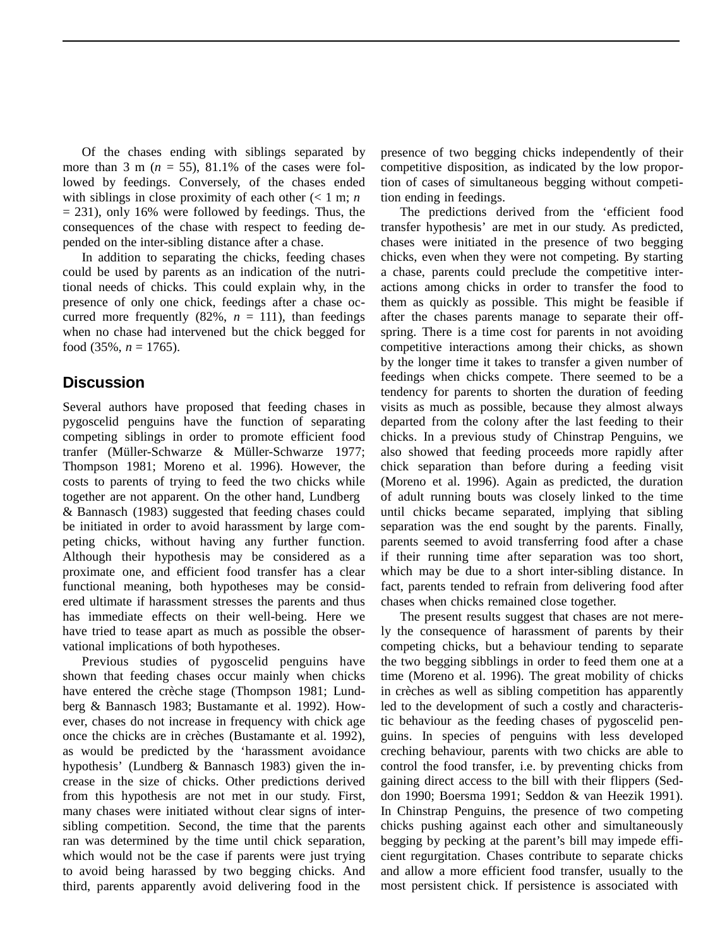Of the chases ending with siblings separated by more than 3 m  $(n = 55)$ , 81.1% of the cases were followed by feedings. Conversely, of the chases ended with siblings in close proximity of each other  $\ll 1$  m; *n*  $= 231$ ), only 16% were followed by feedings. Thus, the consequences of the chase with respect to feeding depended on the inter-sibling distance after a chase.

In addition to separating the chicks, feeding chases could be used by parents as an indication of the nutritional needs of chicks. This could explain why, in the presence of only one chick, feedings after a chase occurred more frequently  $(82\%, n = 111)$ , than feedings when no chase had intervened but the chick begged for food  $(35\%, n = 1765)$ .

# **Discussion**

Several authors have proposed that feeding chases in pygoscelid penguins have the function of separating competing siblings in order to promote efficient food tranfer (Müller-Schwarze & Müller-Schwarze 1977; Thompson 1981; Moreno et al. 1996). However, the costs to parents of trying to feed the two chicks while together are not apparent. On the other hand, Lundberg & Bannasch (1983) suggested that feeding chases could be initiated in order to avoid harassment by large competing chicks, without having any further function. Although their hypothesis may be considered as a proximate one, and efficient food transfer has a clear functional meaning, both hypotheses may be considered ultimate if harassment stresses the parents and thus has immediate effects on their well-being. Here we have tried to tease apart as much as possible the observational implications of both hypotheses.

Previous studies of pygoscelid penguins have shown that feeding chases occur mainly when chicks have entered the crèche stage (Thompson 1981; Lundberg & Bannasch 1983; Bustamante et al. 1992). However, chases do not increase in frequency with chick age once the chicks are in crèches (Bustamante et al. 1992), as would be predicted by the 'harassment avoidance hypothesis' (Lundberg & Bannasch 1983) given the increase in the size of chicks. Other predictions derived from this hypothesis are not met in our study. First, many chases were initiated without clear signs of intersibling competition. Second, the time that the parents ran was determined by the time until chick separation, which would not be the case if parents were just trying to avoid being harassed by two begging chicks. And third, parents apparently avoid delivering food in the

presence of two begging chicks independently of their competitive disposition, as indicated by the low proportion of cases of simultaneous begging without competition ending in feedings.

The predictions derived from the 'efficient food transfer hypothesis' are met in our study. As predicted, chases were initiated in the presence of two begging chicks, even when they were not competing. By starting a chase, parents could preclude the competitive interactions among chicks in order to transfer the food to them as quickly as possible. This might be feasible if after the chases parents manage to separate their offspring. There is a time cost for parents in not avoiding competitive interactions among their chicks, as shown by the longer time it takes to transfer a given number of feedings when chicks compete. There seemed to be a tendency for parents to shorten the duration of feeding visits as much as possible, because they almost always departed from the colony after the last feeding to their chicks. In a previous study of Chinstrap Penguins, we also showed that feeding proceeds more rapidly after chick separation than before during a feeding visit (Moreno et al. 1996). Again as predicted, the duration of adult running bouts was closely linked to the time until chicks became separated, implying that sibling separation was the end sought by the parents. Finally, parents seemed to avoid transferring food after a chase if their running time after separation was too short, which may be due to a short inter-sibling distance. In fact, parents tended to refrain from delivering food after chases when chicks remained close together.

The present results suggest that chases are not merely the consequence of harassment of parents by their competing chicks, but a behaviour tending to separate the two begging sibblings in order to feed them one at a time (Moreno et al. 1996). The great mobility of chicks in crèches as well as sibling competition has apparently led to the development of such a costly and characteristic behaviour as the feeding chases of pygoscelid penguins. In species of penguins with less developed creching behaviour, parents with two chicks are able to control the food transfer, i.e. by preventing chicks from gaining direct access to the bill with their flippers (Seddon 1990; Boersma 1991; Seddon & van Heezik 1991). In Chinstrap Penguins, the presence of two competing chicks pushing against each other and simultaneously begging by pecking at the parent's bill may impede efficient regurgitation. Chases contribute to separate chicks and allow a more efficient food transfer, usually to the most persistent chick. If persistence is associated with